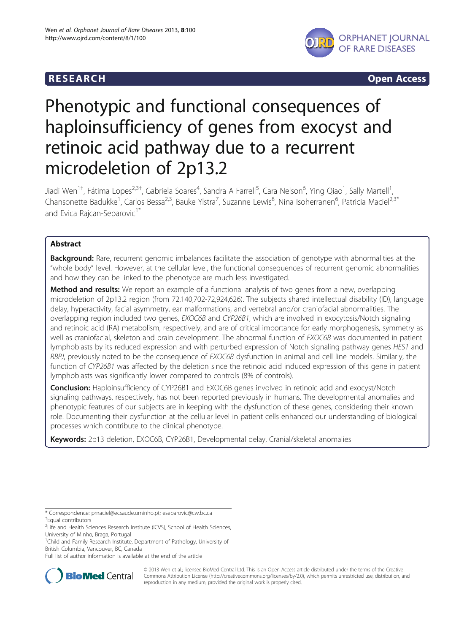

**RESEARCH CHINESEARCH CHINESEARCH CHINESE** 

# Phenotypic and functional consequences of haploinsufficiency of genes from exocyst and retinoic acid pathway due to a recurrent microdeletion of 2p13.2

Jiadi Wen<sup>1†</sup>, Fátima Lopes<sup>2,3†</sup>, Gabriela Soares<sup>4</sup>, Sandra A Farrell<sup>5</sup>, Cara Nelson<sup>6</sup>, Ying Qiao<sup>1</sup>, Sally Martell<sup>1</sup> , Chansonette Badukke<sup>1</sup>, Carlos Bessa<sup>2,3</sup>, Bauke Ylstra<sup>7</sup>, Suzanne Lewis<sup>8</sup>, Nina Isoherranen<sup>6</sup>, Patricia Maciel<sup>2,3\*</sup> and Evica Rajcan-Separovic<sup>1\*</sup>

# Abstract

Background: Rare, recurrent genomic imbalances facilitate the association of genotype with abnormalities at the "whole body" level. However, at the cellular level, the functional consequences of recurrent genomic abnormalities and how they can be linked to the phenotype are much less investigated.

**Method and results:** We report an example of a functional analysis of two genes from a new, overlapping microdeletion of 2p13.2 region (from 72,140,702-72,924,626). The subjects shared intellectual disability (ID), language delay, hyperactivity, facial asymmetry, ear malformations, and vertebral and/or craniofacial abnormalities. The overlapping region included two genes, EXOC6B and CYP26B1, which are involved in exocytosis/Notch signaling and retinoic acid (RA) metabolism, respectively, and are of critical importance for early morphogenesis, symmetry as well as craniofacial, skeleton and brain development. The abnormal function of EXOC6B was documented in patient lymphoblasts by its reduced expression and with perturbed expression of Notch signaling pathway genes HES1 and RBPJ, previously noted to be the consequence of EXOC6B dysfunction in animal and cell line models. Similarly, the function of CYP26B1 was affected by the deletion since the retinoic acid induced expression of this gene in patient lymphoblasts was significantly lower compared to controls (8% of controls).

Conclusion: Haploinsufficiency of CYP26B1 and EXOC6B genes involved in retinoic acid and exocyst/Notch signaling pathways, respectively, has not been reported previously in humans. The developmental anomalies and phenotypic features of our subjects are in keeping with the dysfunction of these genes, considering their known role. Documenting their dysfunction at the cellular level in patient cells enhanced our understanding of biological processes which contribute to the clinical phenotype.

Keywords: 2p13 deletion, EXOC6B, CYP26B1, Developmental delay, Cranial/skeletal anomalies

\* Correspondence: [pmaciel@ecsaude.uminho.pt](mailto:pmaciel@ecsaude.uminho.pt); [eseparovic@cw.bc.ca](mailto:eseparovic@cw.bc.ca) † Equal contributors

<sup>1</sup>Child and Family Research Institute, Department of Pathology, University of British Columbia, Vancouver, BC, Canada

Full list of author information is available at the end of the article



© 2013 Wen et al.; licensee BioMed Central Ltd. This is an Open Access article distributed under the terms of the Creative Commons Attribution License [\(http://creativecommons.org/licenses/by/2.0\)](http://creativecommons.org/licenses/by/2.0), which permits unrestricted use, distribution, and reproduction in any medium, provided the original work is properly cited.

<sup>&</sup>lt;sup>2</sup>Life and Health Sciences Research Institute (ICVS), School of Health Sciences, University of Minho, Braga, Portugal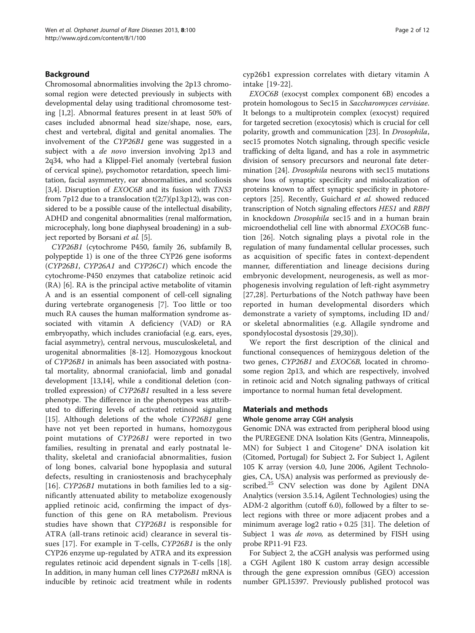# Background

Chromosomal abnormalities involving the 2p13 chromosomal region were detected previously in subjects with developmental delay using traditional chromosome testing [[1,2\]](#page-10-0). Abnormal features present in at least 50% of cases included abnormal head size/shape, nose, ears, chest and vertebral, digital and genital anomalies. The involvement of the CYP26B1 gene was suggested in a subject with a *de novo* inversion involving 2p13 and 2q34, who had a Klippel-Fiel anomaly (vertebral fusion of cervical spine), psychomotor retardation, speech limitation, facial asymmetry, ear abnormalities, and scoliosis [[3,4\]](#page-10-0). Disruption of *EXOC6B* and its fusion with *TNS3* from 7p12 due to a translocation  $t(2;7)(p13;p12)$ , was considered to be a possible cause of the intellectual disability, ADHD and congenital abnormalities (renal malformation, microcephaly, long bone diaphyseal broadening) in a sub-ject reported by Borsani et al. [\[5](#page-10-0)].

CYP26B1 (cytochrome P450, family 26, subfamily B, polypeptide 1) is one of the three CYP26 gene isoforms (CYP26B1, CYP26A1 and CYP26C1) which encode the cytochrome-P450 enzymes that catabolize retinoic acid (RA) [\[6](#page-10-0)]. RA is the principal active metabolite of vitamin A and is an essential component of cell-cell signaling during vertebrate organogenesis [\[7](#page-10-0)]. Too little or too much RA causes the human malformation syndrome associated with vitamin A deficiency (VAD) or RA embryopathy, which includes craniofacial (e.g. ears, eyes, facial asymmetry), central nervous, musculoskeletal, and urogenital abnormalities [[8-12](#page-10-0)]. Homozygous knockout of CYP26B1 in animals has been associated with postnatal mortality, abnormal craniofacial, limb and gonadal development [[13](#page-10-0),[14](#page-10-0)], while a conditional deletion (controlled expression) of CYP26B1 resulted in a less severe phenotype. The difference in the phenotypes was attributed to differing levels of activated retinoid signaling [[15\]](#page-10-0). Although deletions of the whole CYP26B1 gene have not yet been reported in humans, homozygous point mutations of CYP26B1 were reported in two families, resulting in prenatal and early postnatal lethality, skeletal and craniofacial abnormalities, fusion of long bones, calvarial bone hypoplasia and sutural defects, resulting in craniostenosis and brachycephaly [[16](#page-10-0)].  $\text{CP}26\text{B}1$  mutations in both families led to a significantly attenuated ability to metabolize exogenously applied retinoic acid, confirming the impact of dysfunction of this gene on RA metabolism. Previous studies have shown that CYP26B1 is responsible for ATRA (all-trans retinoic acid) clearance in several tissues [\[17](#page-10-0)]. For example in T-cells, CYP26B1 is the only CYP26 enzyme up-regulated by ATRA and its expression regulates retinoic acid dependent signals in T-cells [\[18](#page-10-0)]. In addition, in many human cell lines CYP26B1 mRNA is inducible by retinoic acid treatment while in rodents

cyp26b1 expression correlates with dietary vitamin A intake [[19-22\]](#page-10-0).

EXOC6B (exocyst complex component 6B) encodes a protein homologous to Sec15 in Saccharomyces cervisiae. It belongs to a multiprotein complex (exocyst) required for targeted secretion (exocytosis) which is crucial for cell polarity, growth and communication [[23](#page-10-0)]. In Drosophila, sec15 promotes Notch signaling, through specific vesicle trafficking of delta ligand, and has a role in asymmetric division of sensory precursors and neuronal fate determination [[24\]](#page-10-0). Drosophila neurons with sec15 mutations show loss of synaptic specificity and mislocalization of proteins known to affect synaptic specificity in photoreceptors [[25\]](#page-10-0). Recently, Guichard et al. showed reduced transcription of Notch signaling effectors HES1 and RBPJ in knockdown *Drosophila* sec15 and in a human brain microendothelial cell line with abnormal EXOC6B function [[26](#page-10-0)]. Notch signaling plays a pivotal role in the regulation of many fundamental cellular processes, such as acquisition of specific fates in context-dependent manner, differentiation and lineage decisions during embryonic development, neurogenesis, as well as morphogenesis involving regulation of left-right asymmetry [[27,28\]](#page-10-0). Perturbations of the Notch pathway have been reported in human developmental disorders which demonstrate a variety of symptoms, including ID and/ or skeletal abnormalities (e.g. Allagile syndrome and spondylocostal dysostosis [[29,30](#page-10-0)]).

We report the first description of the clinical and functional consequences of hemizygous deletion of the two genes, CYP26B1 and EXOC6B, located in chromosome region 2p13, and which are respectively, involved in retinoic acid and Notch signaling pathways of critical importance to normal human fetal development.

### Materials and methods

#### Whole genome array CGH analysis

Genomic DNA was extracted from peripheral blood using the PUREGENE DNA Isolation Kits (Gentra, Minneapolis, MN) for Subject 1 and Citogene® DNA isolation kit (Citomed, Portugal) for Subject 2. For Subject 1, Agilent 105 K array (version 4.0, June 2006, Agilent Technologies, CA, USA) analysis was performed as previously described.<sup>25</sup> CNV selection was done by Agilent DNA Analytics (version 3.5.14, Agilent Technologies) using the ADM-2 algorithm (cutoff 6.0), followed by a filter to select regions with three or more adjacent probes and a minimum average  $log2$  ratio  $+ 0.25$  [[31](#page-10-0)]. The deletion of Subject 1 was de novo, as determined by FISH using probe RP11-91 F23.

For Subject 2, the aCGH analysis was performed using a CGH Agilent 180 K custom array design accessible through the gene expression omnibus (GEO) accession number GPL15397. Previously published protocol was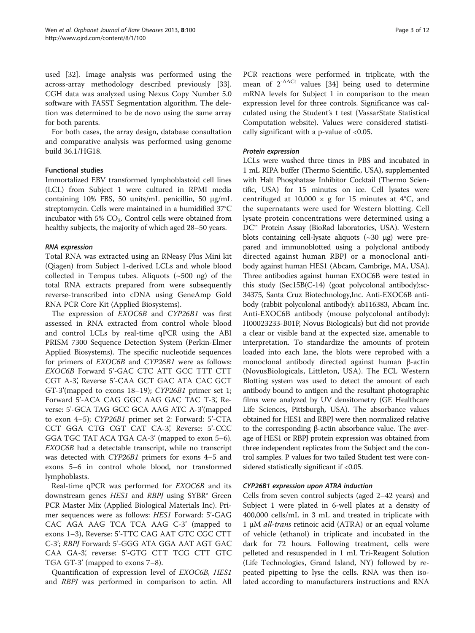used [\[32](#page-10-0)]. Image analysis was performed using the across-array methodology described previously [\[33](#page-10-0)]. CGH data was analyzed using Nexus Copy Number 5.0 software with FASST Segmentation algorithm. The deletion was determined to be de novo using the same array for both parents.

For both cases, the array design, database consultation and comparative analysis was performed using genome build 36.1/HG18.

### Functional studies

Immortalized EBV transformed lymphoblastoid cell lines (LCL) from Subject 1 were cultured in RPMI media containing 10% FBS, 50 units/mL penicillin, 50 μg/mL streptomycin. Cells were maintained in a humidified 37°C incubator with 5%  $CO<sub>2</sub>$ . Control cells were obtained from healthy subjects, the majority of which aged 28–50 years.

### RNA expression

Total RNA was extracted using an RNeasy Plus Mini kit (Qiagen) from Subject 1-derived LCLs and whole blood collected in Tempus tubes. Aliquots  $(\sim 500 \text{ ng})$  of the total RNA extracts prepared from were subsequently reverse-transcribed into cDNA using GeneAmp Gold RNA PCR Core Kit (Applied Biosystems).

The expression of EXOC6B and CYP26B1 was first assessed in RNA extracted from control whole blood and control LCLs by real-time qPCR using the ABI PRISM 7300 Sequence Detection System (Perkin-Elmer Applied Biosystems). The specific nucleotide sequences for primers of EXOC6B and CYP26B1 were as follows: EXOC6B Forward 5'-GAC CTC ATT GCC TTT CTT CGT A-3', Reverse 5'-CAA GCT GAC ATA CAC GCT GT-3'(mapped to exons 18–19); CYP26B1 primer set 1; Forward 5'-ACA CAG GGC AAG GAC TAC T-3', Reverse: 5'-GCA TAG GCC GCA AAG ATC A-3'(mapped to exon 4–5); CYP26B1 primer set 2: Forward: 5'-CTA CCT GGA CTG CGT CAT CA-3', Reverse: 5'-CCC GGA TGC TAT ACA TGA CA-3' (mapped to exon 5–6). EXOC6B had a detectable transcript, while no transcript was detected with CYP26B1 primers for exons 4–5 and exons 5–6 in control whole blood, nor transformed lymphoblasts.

Real-time qPCR was performed for EXOC6B and its downstream genes *HES1* and *RBPJ* using SYBR<sup>®</sup> Green PCR Master Mix (Applied Biological Materials Inc). Primer sequences were as follows: HES1 Forward: 5'-GAG CAC AGA AAG TCA TCA AAG C-3' (mapped to exons 1–3), Reverse: 5'-TTC CAG AAT GTC CGC CTT C-3'; RBPJ Forward: 5'-GGG ATA GGA AAT AGT GAC CAA GA-3', reverse: 5'-GTG CTT TCG CTT GTC TGA GT-3' (mapped to exons 7–8).

Quantification of expression level of EXOC6B, HES1 and RBPJ was performed in comparison to actin. All PCR reactions were performed in triplicate, with the mean of  $2^{-\Delta\Delta Ct}$  values [\[34](#page-10-0)] being used to determine mRNA levels for Subject 1 in comparison to the mean expression level for three controls. Significance was calculated using the Student's t test (VassarState Statistical Computation website). Values were considered statistically significant with a p-value of <0.05.

#### Protein expression

LCLs were washed three times in PBS and incubated in 1 mL RIPA buffer (Thermo Scientific, USA), supplemented with Halt Phosphatase Inhibitor Cocktail (Thermo Scientific, USA) for 15 minutes on ice. Cell lysates were centrifuged at 10,000  $\times$  g for 15 minutes at 4°C, and the supernatants were used for Western blotting. Cell lysate protein concentrations were determined using a DC™ Protein Assay (BioRad laboratories, USA). Western blots containing cell-lysate aliquots  $(\sim 30 \text{ µg})$  were prepared and immunoblotted using a polyclonal antibody directed against human RBPJ or a monoclonal antibody against human HES1 (Abcam, Cambrige, MA, USA). Three antibodies against human EXOC6B were tested in this study (Sec15B(C-14) (goat polycolonal antibody):sc-34375, Santa Cruz Biotechnology,Inc. Anti-EXOC6B antibody (rabbit polycolonal antibody): ab116383, Abcam Inc. Anti-EXOC6B antibody (mouse polycolonal antibody): H00023233-B01P, Novus Biologicals) but did not provide a clear or visible band at the expected size, amenable to interpretation. To standardize the amounts of protein loaded into each lane, the blots were reprobed with a monoclonal antibody directed against human β-actin (NovusBiologicals, Littleton, USA). The ECL Western Blotting system was used to detect the amount of each antibody bound to antigen and the resultant photographic films were analyzed by UV densitometry (GE Healthcare Life Sciences, Pittsburgh, USA). The absorbance values obtained for HES1 and RBPJ were then normalized relative to the corresponding β-actin absorbance value. The average of HES1 or RBPJ protein expression was obtained from three independent replicates from the Subject and the control samples. P values for two tailed Student test were considered statistically significant if <0.05.

#### CYP26B1 expression upon ATRA induction

Cells from seven control subjects (aged 2–42 years) and Subject 1 were plated in 6-well plates at a density of 400,000 cells/mL in 3 mL and treated in triplicate with 1 μM all-trans retinoic acid (ATRA) or an equal volume of vehicle (ethanol) in triplicate and incubated in the dark for 72 hours. Following treatment, cells were pelleted and resuspended in 1 mL Tri-Reagent Solution (Life Technologies, Grand Island, NY) followed by repeated pipetting to lyse the cells. RNA was then isolated according to manufacturers instructions and RNA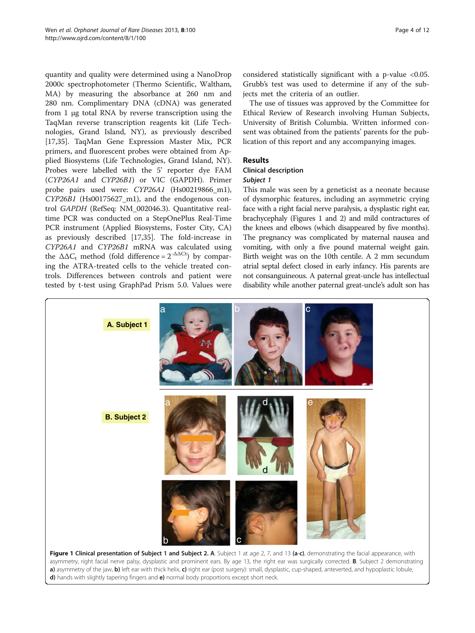<span id="page-3-0"></span>quantity and quality were determined using a NanoDrop 2000c spectrophotometer (Thermo Scientific, Waltham, MA) by measuring the absorbance at 260 nm and 280 nm. Complimentary DNA (cDNA) was generated from 1 μg total RNA by reverse transcription using the TaqMan reverse transcription reagents kit (Life Technologies, Grand Island, NY), as previously described [[17,35\]](#page-10-0). TaqMan Gene Expression Master Mix, PCR primers, and fluorescent probes were obtained from Applied Biosystems (Life Technologies, Grand Island, NY). Probes were labelled with the 5' reporter dye FAM (CYP26A1 and CYP26B1) or VIC (GAPDH). Primer probe pairs used were: CYP26A1 (Hs00219866\_m1), CYP26B1 (Hs00175627\_m1), and the endogenous control GAPDH (RefSeq: NM\_002046.3). Quantitative realtime PCR was conducted on a StepOnePlus Real-Time PCR instrument (Applied Biosystems, Foster City, CA) as previously described [[17,35](#page-10-0)]. The fold-increase in CYP26A1 and CYP26B1 mRNA was calculated using the  $\Delta \Delta C_t$  method (fold difference =  $2^{-\Delta \Delta C_t}$ ) by comparing the ATRA-treated cells to the vehicle treated controls. Differences between controls and patient were tested by t-test using GraphPad Prism 5.0. Values were

considered statistically significant with a p-value <0.05. Grubb's test was used to determine if any of the subjects met the criteria of an outlier.

The use of tissues was approved by the Committee for Ethical Review of Research involving Human Subjects, University of British Columbia. Written informed consent was obtained from the patients' parents for the publication of this report and any accompanying images.

# **Results**

### Clinical description Subject 1

This male was seen by a geneticist as a neonate because of dysmorphic features, including an asymmetric crying face with a right facial nerve paralysis, a dysplastic right ear, brachycephaly (Figures 1 and [2](#page-4-0)) and mild contractures of the knees and elbows (which disappeared by five months). The pregnancy was complicated by maternal nausea and vomiting, with only a five pound maternal weight gain. Birth weight was on the 10th centile. A 2 mm secundum atrial septal defect closed in early infancy. His parents are not consanguineous. A paternal great-uncle has intellectual disability while another paternal great-uncle's adult son has



Figure 1 Clinical presentation of Subject 1 and Subject 2. A. Subject 1 at age 2, 7, and 13 (a-c), demonstrating the facial appearance, with asymmetry, right facial nerve palsy, dysplastic and prominent ears. By age 13, the right ear was surgically corrected. B. Subject 2 demonstrating a) asymmetry of the jaw, b) left ear with thick helix, c) right ear (post surgery): small, dysplastic, cup-shaped, anteverted, and hypoplastic lobule, d) hands with slightly tapering fingers and e) normal body proportions except short neck.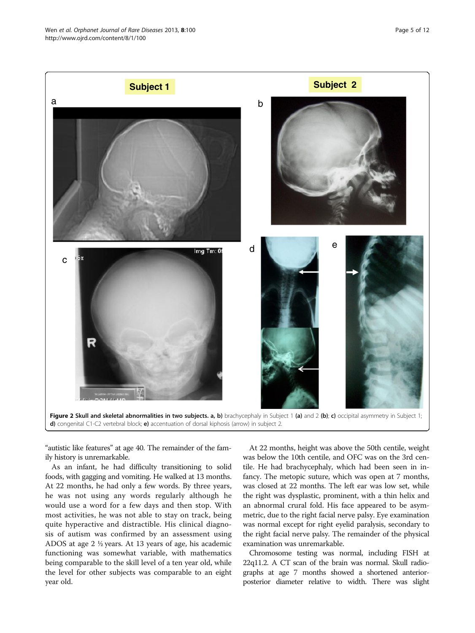<span id="page-4-0"></span>

"autistic like features" at age 40. The remainder of the family history is unremarkable.

As an infant, he had difficulty transitioning to solid foods, with gagging and vomiting. He walked at 13 months. At 22 months, he had only a few words. By three years, he was not using any words regularly although he would use a word for a few days and then stop. With most activities, he was not able to stay on track, being quite hyperactive and distractible. His clinical diagnosis of autism was confirmed by an assessment using ADOS at age 2 ½ years. At 13 years of age, his academic functioning was somewhat variable, with mathematics being comparable to the skill level of a ten year old, while the level for other subjects was comparable to an eight year old.

At 22 months, height was above the 50th centile, weight was below the 10th centile, and OFC was on the 3rd centile. He had brachycephaly, which had been seen in infancy. The metopic suture, which was open at 7 months, was closed at 22 months. The left ear was low set, while the right was dysplastic, prominent, with a thin helix and an abnormal crural fold. His face appeared to be asymmetric, due to the right facial nerve palsy. Eye examination was normal except for right eyelid paralysis, secondary to the right facial nerve palsy. The remainder of the physical examination was unremarkable.

Chromosome testing was normal, including FISH at 22q11.2. A CT scan of the brain was normal. Skull radiographs at age 7 months showed a shortened anteriorposterior diameter relative to width. There was slight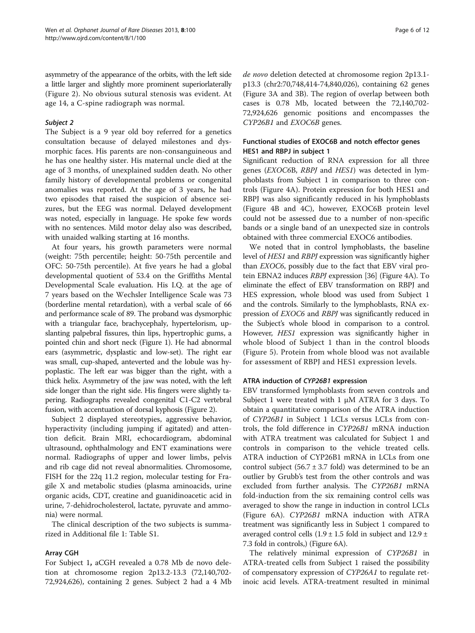asymmetry of the appearance of the orbits, with the left side a little larger and slightly more prominent superiorlaterally (Figure [2\)](#page-4-0). No obvious sutural stenosis was evident. At age 14, a C-spine radiograph was normal.

#### Subject 2

The Subject is a 9 year old boy referred for a genetics consultation because of delayed milestones and dysmorphic faces. His parents are non-consanguineous and he has one healthy sister. His maternal uncle died at the age of 3 months, of unexplained sudden death. No other family history of developmental problems or congenital anomalies was reported. At the age of 3 years, he had two episodes that raised the suspicion of absence seizures, but the EEG was normal. Delayed development was noted, especially in language. He spoke few words with no sentences. Mild motor delay also was described, with unaided walking starting at 16 months.

At four years, his growth parameters were normal (weight: 75th percentile; height: 50-75th percentile and OFC: 50-75th percentile). At five years he had a global developmental quotient of 53.4 on the Griffiths Mental Developmental Scale evaluation. His I.Q. at the age of 7 years based on the Wechsler Intelligence Scale was 73 (borderline mental retardation), with a verbal scale of 66 and performance scale of 89. The proband was dysmorphic with a triangular face, brachycephaly, hypertelorism, upslanting palpebral fissures, thin lips, hypertrophic gums, a pointed chin and short neck (Figure [1](#page-3-0)). He had abnormal ears (asymmetric, dysplastic and low-set). The right ear was small, cup-shaped, anteverted and the lobule was hypoplastic. The left ear was bigger than the right, with a thick helix. Asymmetry of the jaw was noted, with the left side longer than the right side. His fingers were slightly tapering. Radiographs revealed congenital C1-C2 vertebral fusion, with accentuation of dorsal kyphosis (Figure [2](#page-4-0)).

Subject 2 displayed stereotypies, aggressive behavior, hyperactivity (including jumping if agitated) and attention deficit. Brain MRI, echocardiogram, abdominal ultrasound, ophthalmology and ENT examinations were normal. Radiographs of upper and lower limbs, pelvis and rib cage did not reveal abnormalities. Chromosome, FISH for the 22q 11.2 region, molecular testing for Fragile X and metabolic studies (plasma aminoacids, urine organic acids, CDT, creatine and guanidinoacetic acid in urine, 7-dehidrocholesterol, lactate, pyruvate and ammonia) were normal.

The clinical description of the two subjects is summarized in Additional file [1](#page-9-0): Table S1.

# Array CGH

For Subject 1, aCGH revealed a 0.78 Mb de novo deletion at chromosome region 2p13.2-13.3 (72,140,702- 72,924,626), containing 2 genes. Subject 2 had a 4 Mb de novo deletion detected at chromosome region 2p13.1 p13.3 (chr2:70,748,414-74,840,026), containing 62 genes (Figure [3A](#page-6-0) and [3](#page-6-0)B). The region of overlap between both cases is 0.78 Mb, located between the 72,140,702- 72,924,626 genomic positions and encompasses the CYP26B1 and EXOC6B genes.

# Functional studies of EXOC6B and notch effector genes HES1 and RBPJ in subject 1

Significant reduction of RNA expression for all three genes (EXOC6B, RBPJ and HES1) was detected in lymphoblasts from Subject 1 in comparison to three controls (Figure [4A](#page-7-0)). Protein expression for both HES1 and RBPJ was also significantly reduced in his lymphoblasts (Figure [4](#page-7-0)B and [4C](#page-7-0)), however, EXOC6B protein level could not be assessed due to a number of non-specific bands or a single band of an unexpected size in controls obtained with three commercial EXOC6 antibodies.

We noted that in control lymphoblasts, the baseline level of HES1 and RBPJ expression was significantly higher than EXOC6, possibly due to the fact that EBV viral protein EBNA2 induces RBPJ expression [\[36](#page-10-0)] (Figure [4](#page-7-0)A). To eliminate the effect of EBV transformation on RBPJ and HES expression, whole blood was used from Subject 1 and the controls. Similarly to the lymphoblasts, RNA expression of EXOC6 and RBPJ was significantly reduced in the Subject's whole blood in comparison to a control. However, HES1 expression was significantly higher in whole blood of Subject 1 than in the control bloods (Figure [5](#page-8-0)). Protein from whole blood was not available for assessment of RBPJ and HES1 expression levels.

# ATRA induction of CYP26B1 expression

EBV transformed lymphoblasts from seven controls and Subject 1 were treated with 1 μM ATRA for 3 days. To obtain a quantitative comparison of the ATRA induction of CYP26B1 in Subject 1 LCLs versus LCLs from controls, the fold difference in CYP26B1 mRNA induction with ATRA treatment was calculated for Subject 1 and controls in comparison to the vehicle treated cells. ATRA induction of CYP26B1 mRNA in LCLs from one control subject (56.7  $\pm$  3.7 fold) was determined to be an outlier by Grubb's test from the other controls and was excluded from further analysis. The CYP26B1 mRNA fold-induction from the six remaining control cells was averaged to show the range in induction in control LCLs (Figure [6A](#page-8-0)). CYP26B1 mRNA induction with ATRA treatment was significantly less in Subject 1 compared to averaged control cells (1.9  $\pm$  1.5 fold in subject and 12.9  $\pm$ 7.3 fold in controls,) (Figure [6A](#page-8-0)).

The relatively minimal expression of CYP26B1 in ATRA-treated cells from Subject 1 raised the possibility of compensatory expression of CYP26A1 to regulate retinoic acid levels. ATRA-treatment resulted in minimal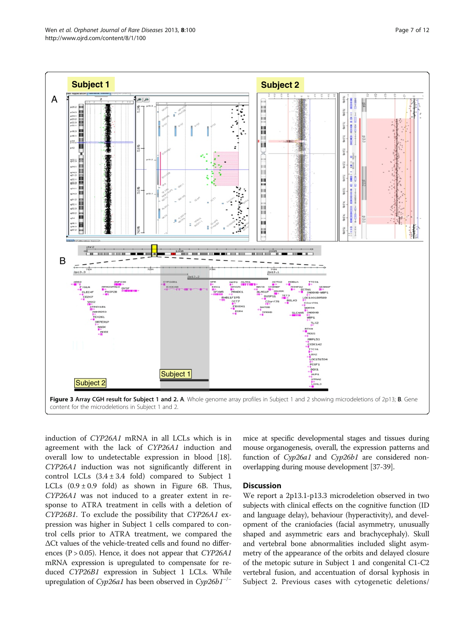<span id="page-6-0"></span>



induction of CYP26A1 mRNA in all LCLs which is in agreement with the lack of CYP26A1 induction and overall low to undetectable expression in blood [\[18](#page-10-0)]. CYP26A1 induction was not significantly different in control LCLs  $(3.4 \pm 3.4 \text{ fold})$  compared to Subject 1 LCLs  $(0.9 \pm 0.9 \text{ fold})$  as shown in Figure [6B](#page-8-0). Thus, CYP26A1 was not induced to a greater extent in response to ATRA treatment in cells with a deletion of CYP26B1. To exclude the possibility that CYP26A1 expression was higher in Subject 1 cells compared to control cells prior to ATRA treatment, we compared the ΔCt values of the vehicle-treated cells and found no differences ( $P > 0.05$ ). Hence, it does not appear that *CYP26A1* mRNA expression is upregulated to compensate for reduced CYP26B1 expression in Subject 1 LCLs. While upregulation of Cyp26a1 has been observed in Cyp26b1<sup>- $/−$ </sup>

mice at specific developmental stages and tissues during mouse organogenesis, overall, the expression patterns and function of Cyp26a1 and Cyp26b1 are considered nonoverlapping during mouse development [\[37-39\]](#page-10-0).

# **Discussion**

We report a 2p13.1-p13.3 microdeletion observed in two subjects with clinical effects on the cognitive function (ID and language delay), behaviour (hyperactivity), and development of the craniofacies (facial asymmetry, unusually shaped and asymmetric ears and brachycephaly). Skull and vertebral bone abnormalities included slight asymmetry of the appearance of the orbits and delayed closure of the metopic suture in Subject 1 and congenital C1-C2 vertebral fusion, and accentuation of dorsal kyphosis in Subject 2. Previous cases with cytogenetic deletions/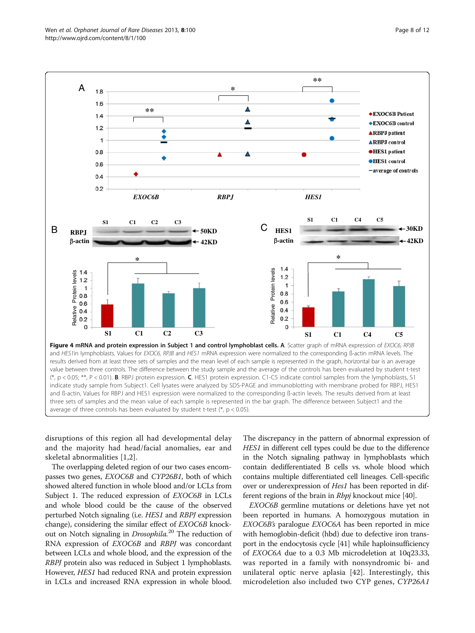disruptions of this region all had developmental delay and the majority had head/facial anomalies, ear and skeletal abnormalities [[1,2\]](#page-10-0).

The overlapping deleted region of our two cases encompasses two genes, EXOC6B and CYP26B1, both of which showed altered function in whole blood and/or LCLs from Subject 1. The reduced expression of *EXOC6B* in LCLs and whole blood could be the cause of the observed perturbed Notch signaling (i.e. HES1 and RBPJ expression change), considering the similar effect of EXOC6B knockout on Notch signaling in *Drosophila*.<sup>20</sup> The reduction of RNA expression of EXOC6B and RBPJ was concordant between LCLs and whole blood, and the expression of the RBPJ protein also was reduced in Subject 1 lymphoblasts. However, HES1 had reduced RNA and protein expression in LCLs and increased RNA expression in whole blood.

The discrepancy in the pattern of abnormal expression of HES1 in different cell types could be due to the difference in the Notch signaling pathway in lymphoblasts which contain dedifferentiated B cells vs. whole blood which contains multiple differentiated cell lineages. Cell-specific over or underexpression of *Hes1* has been reported in different regions of the brain in *Rbpj* knockout mice [[40\]](#page-11-0).

EXOC6B germline mutations or deletions have yet not been reported in humans. A homozygous mutation in EXOC6B's paralogue EXOC6A has been reported in mice with hemoglobin-deficit (hbd) due to defective iron transport in the endocytosis cycle [\[41](#page-11-0)] while haploinsufficiency of EXOC6A due to a 0.3 Mb microdeletion at 10q23.33, was reported in a family with nonsyndromic bi- and unilateral optic nerve aplasia [[42](#page-11-0)]. Interestingly, this microdeletion also included two CYP genes, CYP26A1

<span id="page-7-0"></span>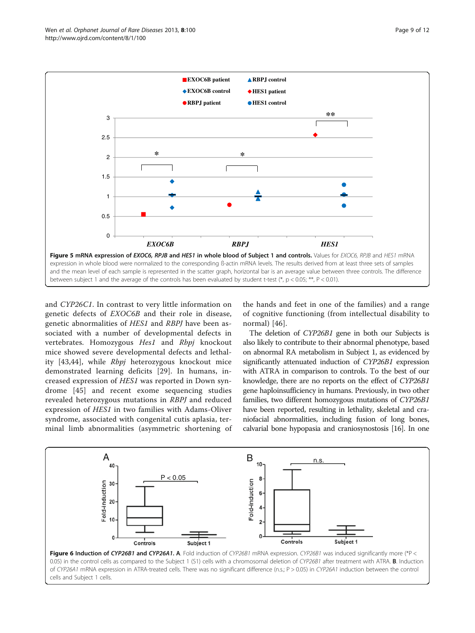<span id="page-8-0"></span>

and CYP26C1. In contrast to very little information on genetic defects of EXOC6B and their role in disease, genetic abnormalities of HES1 and RBPJ have been associated with a number of developmental defects in vertebrates. Homozygous Hes1 and Rbpj knockout mice showed severe developmental defects and lethal-ity [\[43,44\]](#page-11-0), while *Rbpj* heterozygous knockout mice demonstrated learning deficits [\[29](#page-10-0)]. In humans, increased expression of HES1 was reported in Down syndrome [[45\]](#page-11-0) and recent exome sequencing studies revealed heterozygous mutations in RBPJ and reduced expression of HES1 in two families with Adams-Oliver syndrome, associated with congenital cutis aplasia, terminal limb abnormalities (asymmetric shortening of

the hands and feet in one of the families) and a range of cognitive functioning (from intellectual disability to normal) [[46\]](#page-11-0).

The deletion of CYP26B1 gene in both our Subjects is also likely to contribute to their abnormal phenotype, based on abnormal RA metabolism in Subject 1, as evidenced by significantly attenuated induction of CYP26B1 expression with ATRA in comparison to controls. To the best of our knowledge, there are no reports on the effect of CYP26B1 gene haploinsufficiency in humans. Previously, in two other families, two different homozygous mutations of CYP26B1 have been reported, resulting in lethality, skeletal and craniofacial abnormalities, including fusion of long bones, calvarial bone hypopasia and craniosynostosis [\[16](#page-10-0)]. In one

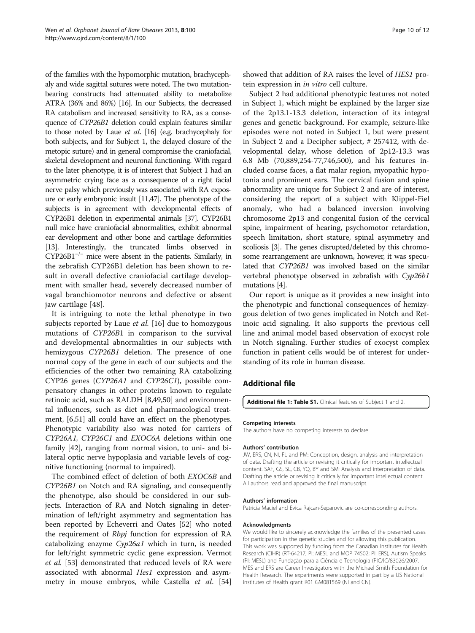<span id="page-9-0"></span>of the families with the hypomorphic mutation, brachycephaly and wide sagittal sutures were noted. The two mutationbearing constructs had attenuated ability to metabolize ATRA (36% and 86%) [\[16](#page-10-0)]. In our Subjects, the decreased RA catabolism and increased sensitivity to RA, as a consequence of CYP26B1 deletion could explain features similar to those noted by Laue et al. [\[16](#page-10-0)] (e.g. brachycephaly for both subjects, and for Subject 1, the delayed closure of the metopic suture) and in general compromise the craniofacial, skeletal development and neuronal functioning. With regard to the later phenotype, it is of interest that Subject 1 had an asymmetric crying face as a consequence of a right facial nerve palsy which previously was associated with RA exposure or early embryonic insult [\[11](#page-10-0)[,47](#page-11-0)]. The phenotype of the subjects is in agreement with developmental effects of CYP26B1 deletion in experimental animals [\[37](#page-10-0)]. CYP26B1 null mice have craniofacial abnormalities, exhibit abnormal ear development and other bone and cartilage deformities [[13\]](#page-10-0). Interestingly, the truncated limbs observed in CYP26B1−/<sup>−</sup> mice were absent in the patients. Similarly, in the zebrafish CYP26B1 deletion has been shown to result in overall defective craniofacial cartilage development with smaller head, severely decreased number of vagal branchiomotor neurons and defective or absent jaw cartilage [[48\]](#page-11-0).

It is intriguing to note the lethal phenotype in two subjects reported by Laue et al. [\[16](#page-10-0)] due to homozygous mutations of CYP26B1 in comparison to the survival and developmental abnormalities in our subjects with hemizygous CYP26B1 deletion. The presence of one normal copy of the gene in each of our subjects and the efficiencies of the other two remaining RA catabolizing CYP26 genes (CYP26A1 and CYP26C1), possible compensatory changes in other proteins known to regulate retinoic acid, such as RALDH [\[8,](#page-10-0)[49,50\]](#page-11-0) and environmental influences, such as diet and pharmacological treatment, [[6,](#page-10-0)[51\]](#page-11-0) all could have an effect on the phenotypes. Phenotypic variability also was noted for carriers of CYP26A1, CYP26C1 and EXOC6A deletions within one family [\[42](#page-11-0)], ranging from normal vision, to uni- and bilateral optic nerve hypoplasia and variable levels of cognitive functioning (normal to impaired).

The combined effect of deletion of both EXOC6B and CYP26B1 on Notch and RA signaling, and consequently the phenotype, also should be considered in our subjects. Interaction of RA and Notch signaling in determination of left/right asymmetry and segmentation has been reported by Echeverri and Oates [[52\]](#page-11-0) who noted the requirement of *Rbpj* function for expression of RA catabolizing enzyme Cyp26a1 which in turn, is needed for left/right symmetric cyclic gene expression. Vermot et al. [[53](#page-11-0)] demonstrated that reduced levels of RA were associated with abnormal Hes1 expression and asym-metry in mouse embryos, while Castella et al. [[54](#page-11-0)]

showed that addition of RA raises the level of HES1 protein expression in in vitro cell culture.

Subject 2 had additional phenotypic features not noted in Subject 1, which might be explained by the larger size of the 2p13.1-13.3 deletion, interaction of its integral genes and genetic background. For example, seizure-like episodes were not noted in Subject 1, but were present in Subject 2 and a Decipher subject, # 257412, with developmental delay, whose deletion of 2p12-13.3 was 6.8 Mb (70,889,254-77,746,500), and his features included coarse faces, a flat malar region, myopathic hypotonia and prominent ears. The cervical fusion and spine abnormality are unique for Subject 2 and are of interest, considering the report of a subject with Klippel-Fiel anomaly, who had a balanced inversion involving chromosome 2p13 and congenital fusion of the cervical spine, impairment of hearing, psychomotor retardation, speech limitation, short stature, spinal asymmetry and scoliosis [[3](#page-10-0)]. The genes disrupted/deleted by this chromosome rearrangement are unknown, however, it was speculated that CYP26B1 was involved based on the similar vertebral phenotype observed in zebrafish with Cyp26b1 mutations [\[4\]](#page-10-0).

Our report is unique as it provides a new insight into the phenotypic and functional consequences of hemizygous deletion of two genes implicated in Notch and Retinoic acid signaling. It also supports the previous cell line and animal model based observation of exocyst role in Notch signaling. Further studies of exocyst complex function in patient cells would be of interest for understanding of its role in human disease.

# Additional file

[Additional file 1: Table S1.](http://www.biomedcentral.com/content/supplementary/1750-1172-8-100-S1.xlsx) Clinical features of Subject 1 and 2.

#### Competing interests

The authors have no competing interests to declare.

#### Authors' contribution

JW, ERS, CN, NI, FL and PM: Conception, design, analysis and interpretation of data. Drafting the article or revising it critically for important intellectual content. SAF, GS, SL, CB, YQ, BY and SM: Analysis and interpretation of data. Drafting the article or revising it critically for important intellectual content. All authors read and approved the final manuscript.

#### Authors' information

Patricia Maciel and Evica Rajcan-Separovic are co-corresponding authors.

#### Acknowledgments

We would like to sincerely acknowledge the families of the presented cases for participation in the genetic studies and for allowing this publication. This work was supported by funding from the Canadian Institutes for Health Research (CIHR) (RT-64217; PI: MESL and MOP 74502; PI: ERS), Autism Speaks (PI: MESL) and Fundação para a Ciência e Tecnologia (PIC/IC/83026/2007. MES and ERS are Career Investigators with the Michael Smith Foundation for Health Research. The experiments were supported in part by a US National institutes of Health grant R01 GM081569 (NI and CN).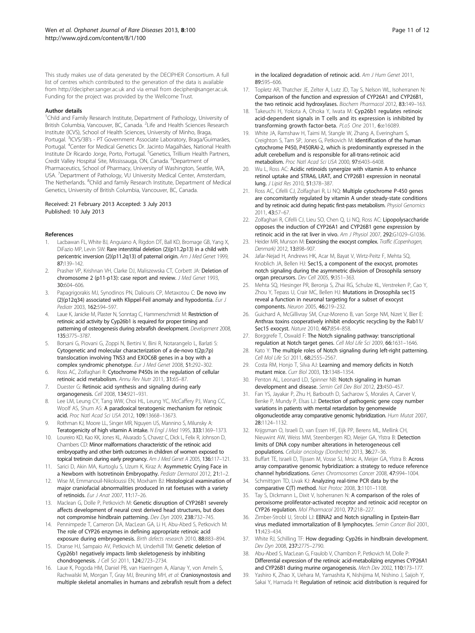<span id="page-10-0"></span>This study makes use of data generated by the DECIPHER Consortium. A full list of centres which contributed to the generation of the data is available from [http://decipher.sanger.ac.uk](http://decipher.sanger.ac.uk/) and via email from decipher@sanger.ac.uk. Funding for the project was provided by the Wellcome Trust.

#### Author details

<sup>1</sup>Child and Family Research Institute, Department of Pathology, University of British Columbia, Vancouver, BC, Canada. <sup>2</sup> Life and Health Sciences Research Institute (ICVS), School of Health Sciences, University of Minho, Braga, Portugal. <sup>3</sup>ICVS/3B's - PT Government Associate Laboratory, Braga/Guimarães, Portugal. <sup>4</sup>Center for Medical Genetics Dr. Jacinto Magalhães, National Health Institute Dr Ricardo Jorge, Porto, Portugal. <sup>5</sup>Genetics, Trillium Health Partners, Credit Valley Hospital Site, Mississauga, ON, Canada. <sup>6</sup>Department of Pharmaceutics, School of Pharmacy, University of Washington, Seattle, WA, USA. <sup>7</sup> Department of Pathology, VU University Medical Center, Amsterdam, The Netherlands. <sup>8</sup>Child and family Research Institute, Department of Medical Genetics, University of British Columbia, Vancouver, BC, Canada.

#### Received: 21 February 2013 Accepted: 3 July 2013 Published: 10 July 2013

#### References

- Lacbawan FL, White BJ, Anguiano A, Rigdon DT, Ball KD, Bromage GB, Yang X, DiFazio MP, Levin SW: Rare interstitial deletion (2)(p11.2p13) in a child with pericentric inversion (2)(p11.2q13) of paternal origin. Am J Med Genet 1999, 87:139–142.
- 2. Prasher VP, Krishnan VH, Clarke DJ, Maliszewska CT, Corbett JA: Deletion of chromosome 2 (p11-p13): case report and review. J Med Genet 1993, 30:604–606.
- 3. Papagrigorakis MJ, Synodinos PN, Daliouris CP, Metaxotou C: De novo inv  $(2)(p12q34)$  associated with Klippel-Feil anomaly and hypodontia. *Eur J* Pediatr 2003, 162:594–597.
- 4. Laue K, Janicke M, Plaster N, Sonntag C, Hammerschmidt M: Restriction of retinoic acid activity by Cyp26b1 is required for proper timing and patterning of osteogenesis during zebrafish development. Development 2008, 135:3775–3787.
- Borsani G, Piovani G, Zoppi N, Bertini V, Bini R, Notarangelo L, Barlati S: Cytogenetic and molecular characterization of a de-novo t(2p;7p) translocation involving TNS3 and EXOC6B genes in a boy with a complex syndromic phenotype. Eur J Med Genet 2008, 51:292–302.
- 6. Ross AC, Zolfaghari R: Cytochrome P450s in the regulation of cellular retinoic acid metabolism. Annu Rev Nutr 2011, 31:65–87.
- 7. Duester G: Retinoic acid synthesis and signaling during early organogenesis. Cell 2008, 134:921–931.
- 8. Lee LM, Leung CY, Tang WW, Choi HL, Leung YC, McCaffery PJ, Wang CC, Woolf AS, Shum AS: A paradoxical teratogenic mechanism for retinoic acid. Proc Natl Acad Sci USA 2012, 109:13668–13673.
- 9. Rothman KJ, Moore LL, Singer MR, Nguyen US, Mannino S, Milunsky A: Teratogenicity of high vitamin A intake. N Engl J Med 1995, 333:1369–1373.
- 10. Loureiro KD, Kao KK, Jones KL, Alvarado S, Chavez C, Dick L, Felix R, Johnson D, Chambers CD: Minor malformations characteristic of the retinoic acid embryopathy and other birth outcomes in children of women exposed to topical tretinoin during early pregnancy. Am J Med Genet A 2005, 136:117–121.
- 11. Sarici D, Akin MA, Kurtoglu S, Uzum K, Kiraz A: Asymmetric Crying Face in a Newborn with Isotretinoin Embryopathy. Pediatr Dermatol 2012, 21:1-2.
- 12. Wise M, Emmanouil-Nikoloussi EN, Moxham BJ: Histological examination of major craniofacial abnormalities produced in rat foetuses with a variety of retinoids. Eur J Anat 2007, 11:17–26.
- 13. Maclean G, Dolle P, Petkovich M: Genetic disruption of CYP26B1 severely affects development of neural crest derived head structures, but does not compromise hindbrain patterning. Dev Dyn 2009, 238:732–745.
- 14. Pennimpede T, Cameron DA, MacLean GA, Li H, Abu-Abed S, Petkovich M: The role of CYP26 enzymes in defining appropriate retinoic acid exposure during embryogenesis. Birth defects research 2010, 88:883–894.
- 15. Dranse HJ, Sampaio AV, Petkovich M, Underhill TM: Genetic deletion of Cyp26b1 negatively impacts limb skeletogenesis by inhibiting chondrogenesis. J Cell Sci 2011, 124:2723–2734.
- 16. Laue K, Pogoda HM, Daniel PB, van Haeringen A, Alanay Y, von Ameln S, Rachwalski M, Morgan T, Gray MJ, Breuning MH, et al: Craniosynostosis and multiple skeletal anomalies in humans and zebrafish result from a defect
- 17. Topletz AR, Thatcher JE, Zelter A, Lutz JD, Tay S, Nelson WL, Isoherranen N: Comparison of the function and expression of CYP26A1 and CYP26B1, the two retinoic acid hydroxylases. Biochem Pharmacol 2012, 83:149–163.
- 18. Takeuchi H, Yokota A, Ohoka Y, Iwata M: Cyp26b1 regulates retinoic acid-dependent signals in T cells and its expression is inhibited by transforming growth factor-beta. PLoS One 2011, 6:e16089.
- 19. White JA, Ramshaw H, Taimi M, Stangle W, Zhang A, Everingham S, Creighton S, Tam SP, Jones G, Petkovich M: Identification of the human cytochrome P450, P450RAI-2, which is predominantly expressed in the adult cerebellum and is responsible for all-trans-retinoic acid metabolism. Proc Natl Acad Sci USA 2000, 97:6403–6408.
- 20. Wu L, Ross AC: Acidic retinoids synergize with vitamin A to enhance retinol uptake and STRA6, LRAT, and CYP26B1 expression in neonatal lung. J Lipid Res 2010, 51:378–387.
- 21. Ross AC, Cifelli CJ, Zolfaghari R, Li NQ: Multiple cytochrome P-450 genes are concomitantly regulated by vitamin A under steady-state conditions and by retinoic acid during hepatic first-pass metabolism. Physiol Genomics 2011, 43:57–67.
- 22. Zolfaghari R, Cifelli CJ, Lieu SO, Chen Q, Li NQ, Ross AC: Lipopolysaccharide opposes the induction of CYP26A1 and CYP26B1 gene expression by retinoic acid in the rat liver in vivo. Am J Physiol 2007, 292:G1029–G1036.
- 23. Heider MR, Munson M: Exorcising the exocyst complex. Traffic (Copenhagen, Denmark) 2012, 13:898–907.
- 24. Jafar-Nejad H, Andrews HK, Acar M, Bayat V, Wirtz-Peitz F, Mehta SQ, Knoblich JA, Bellen HJ: Sec15, a component of the exocyst, promotes notch signaling during the asymmetric division of Drosophila sensory organ precursors. Dev Cell 2005, 9:351-363.
- 25. Mehta SQ, Hiesinger PR, Beronja S, Zhai RG, Schulze KL, Verstreken P, Cao Y, Zhou Y, Tepass U, Crair MC, Bellen HJ: Mutations in Drosophila sec15 reveal a function in neuronal targeting for a subset of exocyst components. Neuron 2005, 46:219–232.
- 26. Guichard A, McGillivray SM, Cruz-Moreno B, van Sorge NM, Nizet V, Bier E: Anthrax toxins cooperatively inhibit endocytic recycling by the Rab11/ Sec15 exocyst. Nature 2010, 467:854-858.
- 27. Borggrefe T, Oswald F: The Notch signaling pathway: transcriptional regulation at Notch target genes. Cell Mol Life Sci 2009, 66:1631–1646.
- 28. Kato Y: The multiple roles of Notch signaling during left-right patterning. Cell Mol Life Sci 2011, 68:2555-2567.
- 29. Costa RM, Honjo T, Silva AJ: Learning and memory deficits in Notch mutant mice. Curr Biol 2003, 13:1348–1354.
- 30. Penton AL, Leonard LD, Spinner NB: Notch signaling in human development and disease. Semin Cell Dev Biol 2012, 23:450–457.
- 31. Fan YS, Jayakar P, Zhu H, Barbouth D, Sacharow S, Morales A, Carver V, Benke P, Mundy P, Elsas LJ: Detection of pathogenic gene copy number variations in patients with mental retardation by genomewide oligonucleotide array comparative genomic hybridization. Hum Mutat 2007, 28:1124–1132.
- 32. Krijgsman O, Israeli D, van Essen HF, Eijk PP, Berens ML, Mellink CH, Nieuwint AW, Weiss MM, Steenbergen RD, Meijer GA, Ylstra B: Detection limits of DNA copy number alterations in heterogeneous cell populations. Cellular oncology (Dordrecht) 2013, 36:27–36.
- 33. Buffart TE, Israeli D, Tijssen M, Vosse SJ, Mrsic A, Meijer GA, Ylstra B: Across array comparative genomic hybridization: a strategy to reduce reference channel hybridizations. Genes Chromosomes Cancer 2008, 47:994–1004.
- 34. Schmittgen TD, Livak KJ: Analyzing real-time PCR data by the comparative C(T) method. Nat Protoc 2008, 3:1101–1108.
- 35. Tay S, Dickmann L, Dixit V, Isoherranen N: A comparison of the roles of peroxisome proliferator-activated receptor and retinoic acid receptor on CYP26 regulation. Mol Pharmacol 2010, 77:218–227.
- 36. Zimber-Strobl U, Strobl LJ: EBNA2 and Notch signalling in Epstein-Barr virus mediated immortalization of B lymphocytes. Semin Cancer Biol 2001, 11:423–434.
- 37. White RJ, Schilling TF: How degrading: Cyp26s in hindbrain development. Dev Dyn 2008, 237:2775–2790.
- 38. Abu-Abed S, MacLean G, Fraulob V, Chambon P, Petkovich M, Dolle P: Differential expression of the retinoic acid-metabolizing enzymes CYP26A1 and CYP26B1 during murine organogenesis. Mech Dev 2002, 110:173–177.
- 39. Yashiro K, Zhao X, Uehara M, Yamashita K, Nishijima M, Nishino J, Saijoh Y, Sakai Y, Hamada H: Regulation of retinoic acid distribution is required for